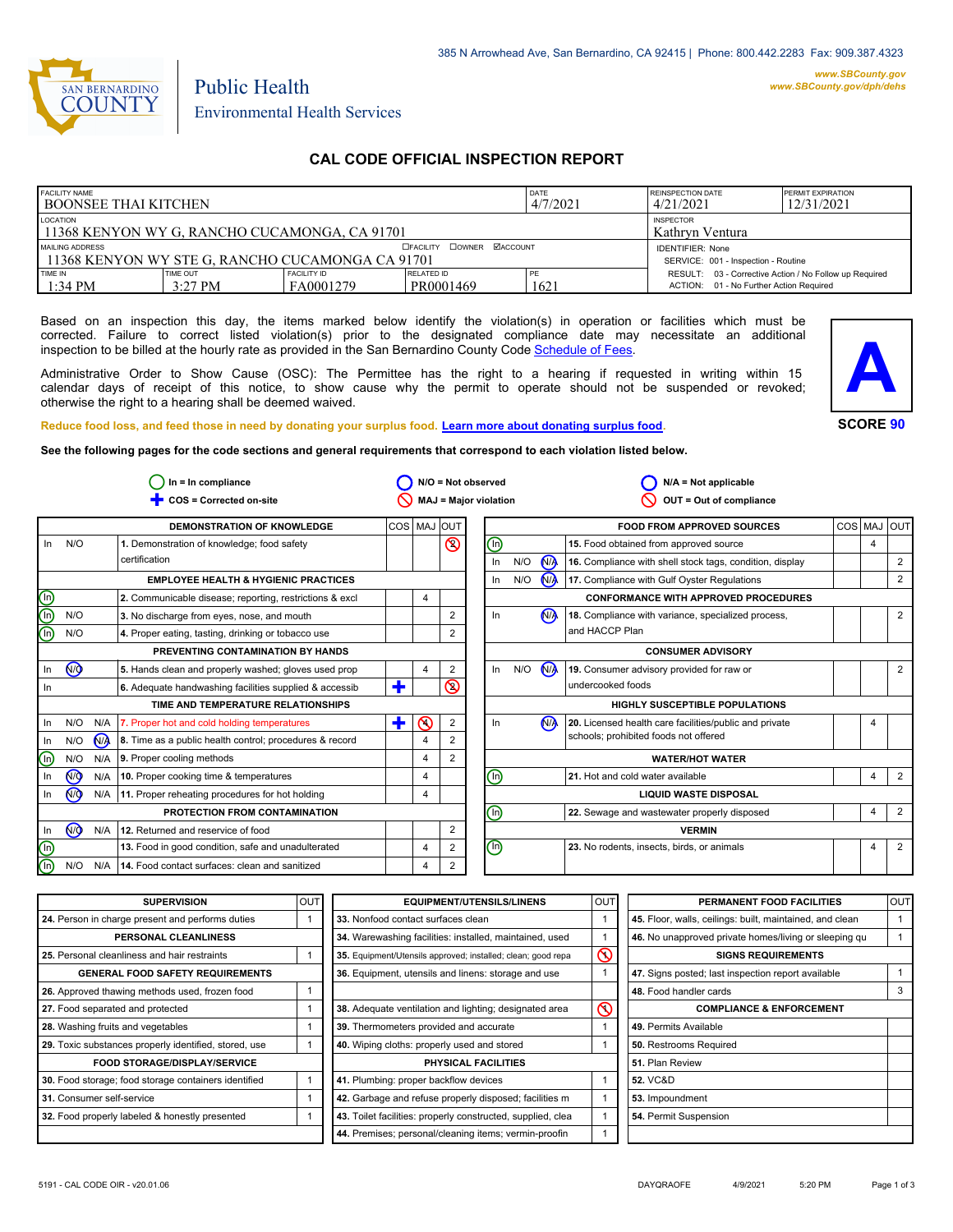

# Public Health Environmental Health Services

# **CAL CODE OFFICIAL INSPECTION REPORT**

| <b>FACILITY NAME</b><br>I BOONSEE THAI KITCHEN                      |                              |                                                                | DATE<br>4/7/2021        | REINSPECTION DATE<br>4/21/2021 | <b>PERMIT EXPIRATION</b><br>12/31/2021                                                            |  |
|---------------------------------------------------------------------|------------------------------|----------------------------------------------------------------|-------------------------|--------------------------------|---------------------------------------------------------------------------------------------------|--|
| LOCATION<br>11368 KENYON WY G, RANCHO CUCAMONGA, CA 91701           |                              | <b>INSPECTOR</b><br>Kathryn Ventura                            |                         |                                |                                                                                                   |  |
| MAILING ADDRESS<br>11368 KENYON WY STE G. RANCHO CUCAMONGA CA 91701 |                              | <b>IDENTIFIER: None</b><br>SERVICE: 001 - Inspection - Routine |                         |                                |                                                                                                   |  |
| TIME IN<br>$1:34$ PM                                                | <b>TIME OUT</b><br>$3:27$ PM | <b>FACILITY ID</b><br>FA0001279                                | RELATED ID<br>PR0001469 | PE<br>1621                     | RESULT: 03 - Corrective Action / No Follow up Required<br>ACTION: 01 - No Further Action Required |  |

Based on an inspection this day, the items marked below identify the violation(s) in operation or facilities which must be corrected. Failure to correct listed violation(s) prior to the designated compliance date may necessitate an additional inspection to be billed at the hourly rate as provided in the San Bernardino County Co[de Schedule of Fees.](http://www.amlegal.com/nxt/gateway.dll/California/sanbernardinocounty_ca/title1governmentandadministration/division6countyfees/chapter2scheduleoffees?f=templates$fn=default.htm$3.0$vid=amlegal:sanbernardinocounty_ca$anc=JD_16.0213B)

Administrative Order to Show Cause (OSC): The Permittee has the right to a hearing if requested in writing within 15 calendar days of receipt of this notice, to show cause why the permit to operate should not be suspended or revoked; otherwise the right to a hearing shall be deemed waived.



#### **Reduce food loss, and feed those in need by donating your surplus f[ood. Learn more about donating surplus food.](http://wp.sbcounty.gov/dph/programs/ehs/food-facilities/)**

**See the following pages for the code sections and general requirements that correspond to each violation listed below.**

| $In = In$ compliance    |                         |                | $N/O = Not observed$                                    |                       |                |                         |                                | $N/A = Not applicable$   |                                                          |                                                        |            |   |                |
|-------------------------|-------------------------|----------------|---------------------------------------------------------|-----------------------|----------------|-------------------------|--------------------------------|--------------------------|----------------------------------------------------------|--------------------------------------------------------|------------|---|----------------|
|                         | COS = Corrected on-site |                |                                                         | MAJ = Major violation |                | OUT = Out of compliance |                                |                          |                                                          |                                                        |            |   |                |
|                         |                         |                | <b>DEMONSTRATION OF KNOWLEDGE</b>                       | COS MAJ               |                | <b>OUT</b>              |                                |                          |                                                          | <b>FOOD FROM APPROVED SOURCES</b>                      | <b>COS</b> |   | <b>MAJ OUT</b> |
| In                      | N/O                     |                | 1. Demonstration of knowledge; food safety              |                       |                | $\circledcirc$          | ⓪                              |                          |                                                          | 15. Food obtained from approved source                 |            | 4 |                |
|                         | certification           |                |                                                         |                       |                | In                      | N/O                            | <b>MA</b>                | 16. Compliance with shell stock tags, condition, display |                                                        |            | 2 |                |
|                         |                         |                | <b>EMPLOYEE HEALTH &amp; HYGIENIC PRACTICES</b>         |                       |                |                         | In                             | N/O                      | <b>NA</b>                                                | 17. Compliance with Gulf Oyster Regulations            |            |   | 2              |
| ee                      |                         |                | 2. Communicable disease; reporting, restrictions & excl |                       | 4              |                         |                                |                          |                                                          | <b>CONFORMANCE WITH APPROVED PROCEDURES</b>            |            |   |                |
|                         | N/O                     |                | 3. No discharge from eyes, nose, and mouth              |                       |                | 2                       | In                             |                          | <b>N<sub>A</sub></b>                                     | 18. Compliance with variance, specialized process,     |            |   | 2              |
|                         | N/O                     |                | 4. Proper eating, tasting, drinking or tobacco use      |                       |                |                         |                                |                          |                                                          | and HACCP Plan                                         |            |   |                |
|                         |                         |                | PREVENTING CONTAMINATION BY HANDS                       |                       |                |                         |                                | <b>CONSUMER ADVISORY</b> |                                                          |                                                        |            |   |                |
| In                      | <b>NO</b>               |                | 5. Hands clean and properly washed; gloves used prop    |                       | 4              | 2                       | In                             | N/O                      | N                                                        | 19. Consumer advisory provided for raw or              |            |   | 2              |
| In                      |                         |                | 6. Adequate handwashing facilities supplied & accessib  | ٠                     |                | $\circledcirc$          |                                |                          |                                                          | undercooked foods                                      |            |   |                |
|                         |                         |                | TIME AND TEMPERATURE RELATIONSHIPS                      |                       |                |                         |                                |                          |                                                          | <b>HIGHLY SUSCEPTIBLE POPULATIONS</b>                  |            |   |                |
| In                      | N/O                     | N/A            | 7. Proper hot and cold holding temperatures             | ٠                     | $\odot$        | 2                       | In                             |                          | N <sub>A</sub>                                           | 20. Licensed health care facilities/public and private |            | 4 |                |
| In                      | N/O                     | N <sub>A</sub> | 8. Time as a public health control; procedures & record |                       | 4              |                         |                                |                          |                                                          | schools; prohibited foods not offered                  |            |   |                |
| ⑯                       | N/O                     | N/A            | 9. Proper cooling methods                               |                       | $\overline{4}$ | 2                       |                                |                          |                                                          | <b>WATER/HOT WATER</b>                                 |            |   |                |
| In                      | @                       | N/A            | 10. Proper cooking time & temperatures                  |                       | 4              |                         | ⓪                              |                          |                                                          | 21. Hot and cold water available                       |            | 4 | $\overline{2}$ |
| In                      | <b>NO</b>               | N/A            | 11. Proper reheating procedures for hot holding         |                       | 4              |                         |                                |                          |                                                          | <b>LIQUID WASTE DISPOSAL</b>                           |            |   |                |
|                         |                         |                | PROTECTION FROM CONTAMINATION                           |                       |                |                         | ⓪                              |                          |                                                          | 22. Sewage and wastewater properly disposed            |            | 4 | $\overline{2}$ |
| In                      | <b>ඹ</b>                | N/A            | 12. Returned and reservice of food                      |                       |                | 2                       |                                |                          |                                                          | <b>VERMIN</b>                                          |            |   |                |
| $\overline{\mathbb{O}}$ |                         |                | 13. Food in good condition, safe and unadulterated      |                       | 4              | 2                       | $\textcircled{\scriptsize{1}}$ |                          |                                                          | 23. No rodents, insects, birds, or animals             |            | 4 | $\overline{2}$ |
| $\overline{\mathbb{O}}$ | N/O                     | N/A            | 14. Food contact surfaces: clean and sanitized          |                       | 4              | $\overline{2}$          |                                |                          |                                                          |                                                        |            |   |                |

| <b>SUPERVISION</b>                                    | <b>OUT</b> | <b>EQUIPMENT/UTENSILS/LINENS</b>                             | <b>OUT</b>     | PERMANENT FOOD FACILITIES                                | <b>OUT</b> |
|-------------------------------------------------------|------------|--------------------------------------------------------------|----------------|----------------------------------------------------------|------------|
| 24. Person in charge present and performs duties      |            | 33. Nonfood contact surfaces clean                           |                | 45. Floor, walls, ceilings: built, maintained, and clean |            |
| PERSONAL CLEANLINESS                                  |            | 34. Warewashing facilities: installed, maintained, used      |                | 46. No unapproved private homes/living or sleeping qu    |            |
| 25. Personal cleanliness and hair restraints          |            | 35. Equipment/Utensils approved; installed; clean; good repa | $\circledcirc$ | <b>SIGNS REQUIREMENTS</b>                                |            |
| <b>GENERAL FOOD SAFETY REQUIREMENTS</b>               |            | 36. Equipment, utensils and linens: storage and use          |                | 47. Signs posted; last inspection report available       |            |
| 26. Approved thawing methods used, frozen food        |            |                                                              |                | 48. Food handler cards                                   | 3          |
| 27. Food separated and protected                      |            | 38. Adequate ventilation and lighting; designated area       | $\circledcirc$ | <b>COMPLIANCE &amp; ENFORCEMENT</b>                      |            |
| 28. Washing fruits and vegetables                     |            | 39. Thermometers provided and accurate                       |                | 49. Permits Available                                    |            |
| 29. Toxic substances properly identified, stored, use |            | 40. Wiping cloths: properly used and stored                  |                | 50. Restrooms Required                                   |            |
| <b>FOOD STORAGE/DISPLAY/SERVICE</b>                   |            | PHYSICAL FACILITIES                                          |                | 51. Plan Review                                          |            |
| 30. Food storage; food storage containers identified  |            | 41. Plumbing: proper backflow devices                        |                | <b>52. VC&amp;D</b>                                      |            |
| 31. Consumer self-service                             |            | 42. Garbage and refuse properly disposed; facilities m       |                | 53. Impoundment                                          |            |
| 32. Food properly labeled & honestly presented        |            | 43. Toilet facilities: properly constructed, supplied, clea  |                | 54. Permit Suspension                                    |            |
|                                                       |            | 44. Premises; personal/cleaning items; vermin-proofin        |                |                                                          |            |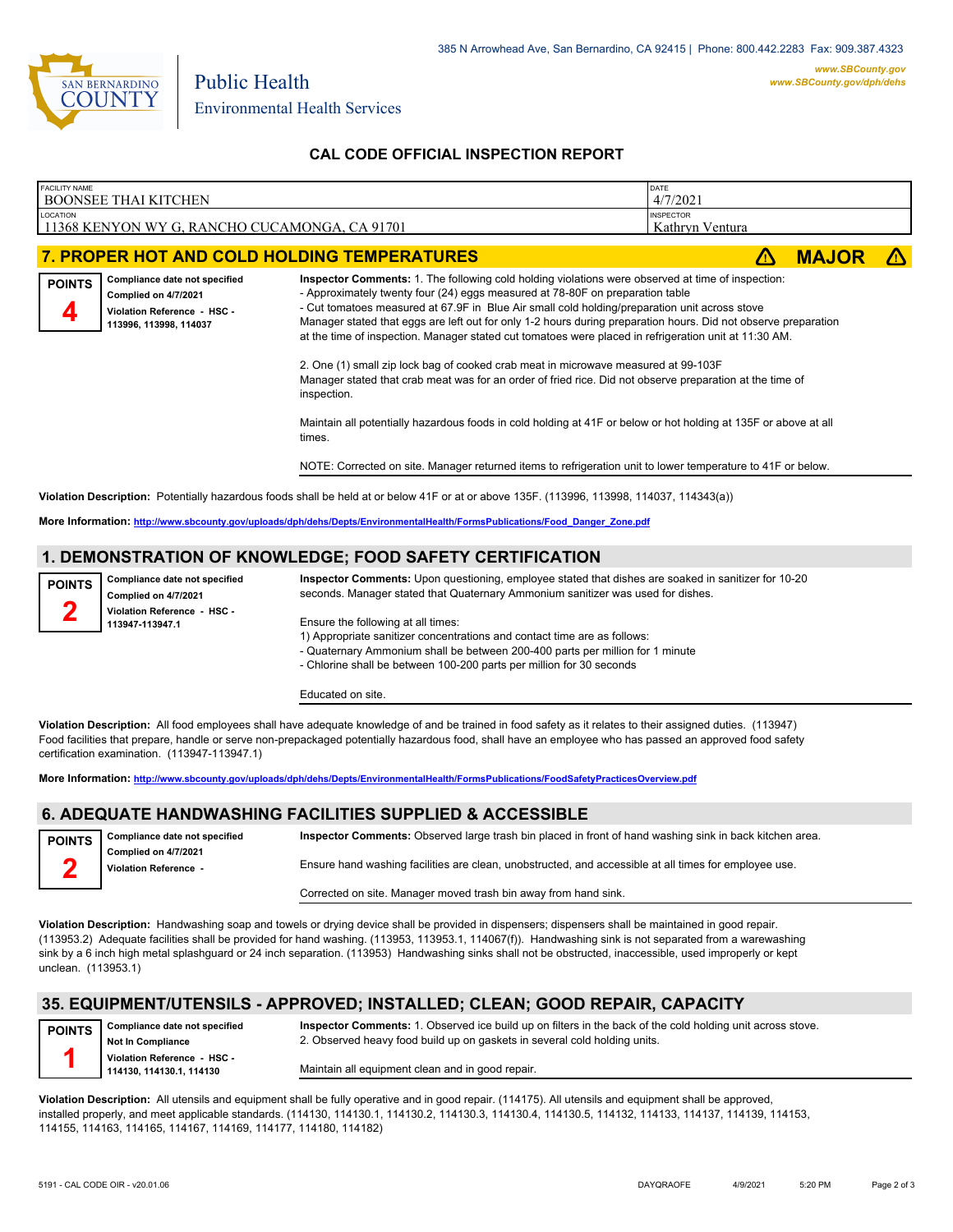

# **CAL CODE OFFICIAL INSPECTION REPORT**

| <b>FACILITY NAME</b> | <b>BOONSEE THAI KITCHEN</b>                                                                                                               |                                                                                                                                                                                                                                                                                                                                                                                                                                                                                                                                                                                                                                                                                                                                                                                                                                                                                                                                                                             | DATE<br>4/7/2021                    |              |  |  |  |  |
|----------------------|-------------------------------------------------------------------------------------------------------------------------------------------|-----------------------------------------------------------------------------------------------------------------------------------------------------------------------------------------------------------------------------------------------------------------------------------------------------------------------------------------------------------------------------------------------------------------------------------------------------------------------------------------------------------------------------------------------------------------------------------------------------------------------------------------------------------------------------------------------------------------------------------------------------------------------------------------------------------------------------------------------------------------------------------------------------------------------------------------------------------------------------|-------------------------------------|--------------|--|--|--|--|
| <b>LOCATION</b>      | 11368 KENYON WY G, RANCHO CUCAMONGA, CA 91701                                                                                             |                                                                                                                                                                                                                                                                                                                                                                                                                                                                                                                                                                                                                                                                                                                                                                                                                                                                                                                                                                             | <b>INSPECTOR</b><br>Kathryn Ventura |              |  |  |  |  |
|                      |                                                                                                                                           | <b>7. PROPER HOT AND COLD HOLDING TEMPERATURES</b>                                                                                                                                                                                                                                                                                                                                                                                                                                                                                                                                                                                                                                                                                                                                                                                                                                                                                                                          |                                     | <b>MAJOR</b> |  |  |  |  |
| <b>POINTS</b>        | Compliance date not specified<br>Complied on 4/7/2021<br>Violation Reference - HSC -<br>113996, 113998, 114037                            | Inspector Comments: 1. The following cold holding violations were observed at time of inspection:<br>- Approximately twenty four (24) eggs measured at 78-80F on preparation table<br>- Cut tomatoes measured at 67.9F in Blue Air small cold holding/preparation unit across stove<br>Manager stated that eggs are left out for only 1-2 hours during preparation hours. Did not observe preparation<br>at the time of inspection. Manager stated cut tomatoes were placed in refrigeration unit at 11:30 AM.<br>2. One (1) small zip lock bag of cooked crab meat in microwave measured at 99-103F<br>Manager stated that crab meat was for an order of fried rice. Did not observe preparation at the time of<br>inspection.<br>Maintain all potentially hazardous foods in cold holding at 41F or below or hot holding at 135F or above at all<br>times.<br>NOTE: Corrected on site. Manager returned items to refrigeration unit to lower temperature to 41F or below. |                                     |              |  |  |  |  |
|                      | Violation Description: Potentially hazardous foods shall be held at or below 41F or at or above 135F. (113996, 113998, 114037, 114343(a)) |                                                                                                                                                                                                                                                                                                                                                                                                                                                                                                                                                                                                                                                                                                                                                                                                                                                                                                                                                                             |                                     |              |  |  |  |  |
|                      | More Information: http://www.sbcounty.gov/uploads/dph/dehs/Depts/EnvironmentalHealth/FormsPublications/Food_Danger_Zone.pdf               |                                                                                                                                                                                                                                                                                                                                                                                                                                                                                                                                                                                                                                                                                                                                                                                                                                                                                                                                                                             |                                     |              |  |  |  |  |

### **1. DEMONSTRATION OF KNOWLEDGE; FOOD SAFETY CERTIFICATION**

**Compliance date not specified Complied on 4/7/2021 Violation Reference - HSC - 113947-113947.1 POINTS**

**2**

**Inspector Comments:** Upon questioning, employee stated that dishes are soaked in sanitizer for 10-20 seconds. Manager stated that Quaternary Ammonium sanitizer was used for dishes.

Ensure the following at all times:

1) Appropriate sanitizer concentrations and contact time are as follows:

- Quaternary Ammonium shall be between 200-400 parts per million for 1 minute

- Chlorine shall be between 100-200 parts per million for 30 seconds

Educated on site.

**Violation Description:** All food employees shall have adequate knowledge of and be trained in food safety as it relates to their assigned duties. (113947) Food facilities that prepare, handle or serve non-prepackaged potentially hazardous food, shall have an employee who has passed an approved food safety certification examination. (113947-113947.1)

**More Information: <http://www.sbcounty.gov/uploads/dph/dehs/Depts/EnvironmentalHealth/FormsPublications/FoodSafetyPracticesOverview.pdf>**

# **6. ADEQUATE HANDWASHING FACILITIES SUPPLIED & ACCESSIBLE**

| <b>POINTS</b> | Compliance date not specified                 | Inspector Comments: Observed large trash bin placed in front of hand washing sink in back kitchen area. |
|---------------|-----------------------------------------------|---------------------------------------------------------------------------------------------------------|
|               | Complied on 4/7/2021<br>Violation Reference - | Ensure hand washing facilities are clean, unobstructed, and accessible at all times for employee use.   |
|               |                                               | Corrected on site. Manager moved trash bin away from hand sink.                                         |

**Violation Description:** Handwashing soap and towels or drying device shall be provided in dispensers; dispensers shall be maintained in good repair. (113953.2) Adequate facilities shall be provided for hand washing. (113953, 113953.1, 114067(f)). Handwashing sink is not separated from a warewashing sink by a 6 inch high metal splashguard or 24 inch separation. (113953) Handwashing sinks shall not be obstructed, inaccessible, used improperly or kept unclean. (113953.1)

### **35. EQUIPMENT/UTENSILS - APPROVED; INSTALLED; CLEAN; GOOD REPAIR, CAPACITY**

**Compliance date not specified Not In Compliance Violation Reference - HSC - 114130, 114130.1, 114130 POINTS 1**

**Inspector Comments:** 1. Observed ice build up on filters in the back of the cold holding unit across stove. 2. Observed heavy food build up on gaskets in several cold holding units.

Maintain all equipment clean and in good repair.

**Violation Description:** All utensils and equipment shall be fully operative and in good repair. (114175). All utensils and equipment shall be approved, installed properly, and meet applicable standards. (114130, 114130.1, 114130.2, 114130.3, 114130.4, 114130.5, 114132, 114133, 114137, 114139, 114153, 114155, 114163, 114165, 114167, 114169, 114177, 114180, 114182)